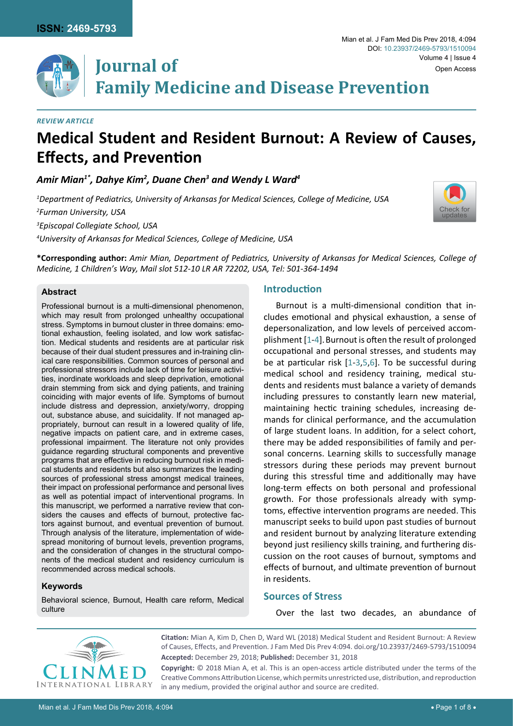

[Check for](http://crossmark.crossref.org/dialog/?doi=10.23937/2469-5793/1510094&domain=pdf) updates

**Journal of Family Medicine and Disease Prevention**

## *Review article*

# **Medical Student and Resident Burnout: A Review of Causes, Effects, and Prevention**

Amir Mian<sup>1\*</sup>, Dahye Kim<sup>2</sup>, Duane Chen<sup>3</sup> and Wendy L Ward<sup>4</sup>

*1 Department of Pediatrics, University of Arkansas for Medical Sciences, College of Medicine, USA*

*2 Furman University, USA*

*3 Episcopal Collegiate School, USA*

*4 University of Arkansas for Medical Sciences, College of Medicine, USA*

**\*Corresponding author:** *Amir Mian, Department of Pediatrics, University of Arkansas for Medical Sciences, College of Medicine, 1 Children's Way, Mail slot 512-10 LR AR 72202, USA, Tel: 501-364-1494*

## **Abstract**

Professional burnout is a multi-dimensional phenomenon, which may result from prolonged unhealthy occupational stress. Symptoms in burnout cluster in three domains: emotional exhaustion, feeling isolated, and low work satisfaction. Medical students and residents are at particular risk because of their dual student pressures and in-training clinical care responsibilities. Common sources of personal and professional stressors include lack of time for leisure activities, inordinate workloads and sleep deprivation, emotional drain stemming from sick and dying patients, and training coinciding with major events of life. Symptoms of burnout include distress and depression, anxiety/worry, dropping out, substance abuse, and suicidality. If not managed appropriately, burnout can result in a lowered quality of life, negative impacts on patient care, and in extreme cases, professional impairment. The literature not only provides guidance regarding structural components and preventive programs that are effective in reducing burnout risk in medical students and residents but also summarizes the leading sources of professional stress amongst medical trainees, their impact on professional performance and personal lives as well as potential impact of interventional programs. In this manuscript, we performed a narrative review that considers the causes and effects of burnout, protective factors against burnout, and eventual prevention of burnout. Through analysis of the literature, implementation of widespread monitoring of burnout levels, prevention programs, and the consideration of changes in the structural components of the medical student and residency curriculum is recommended across medical schools.

## **Keywords**

Behavioral science, Burnout, Health care reform, Medical culture

# **Introduction**

Burnout is a multi-dimensional condition that includes emotional and physical exhaustion, a sense of depersonalization, and low levels of perceived accomplishment [[1](#page-5-0)[-4\]](#page-5-1).Burnout is often the result of prolonged occupational and personal stresses, and students may be at particular risk [[1](#page-5-0)-[3](#page-5-2),[5](#page-5-3),[6\]](#page-5-4). To be successful during medical school and residency training, medical students and residents must balance a variety of demands including pressures to constantly learn new material, maintaining hectic training schedules, increasing demands for clinical performance, and the accumulation of large student loans. In addition, for a select cohort, there may be added responsibilities of family and personal concerns. Learning skills to successfully manage stressors during these periods may prevent burnout during this stressful time and additionally may have long-term effects on both personal and professional growth. For those professionals already with symptoms, effective intervention programs are needed. This manuscript seeks to build upon past studies of burnout and resident burnout by analyzing literature extending beyond just resiliency skills training, and furthering discussion on the root causes of burnout, symptoms and effects of burnout, and ultimate prevention of burnout in residents.

# **Sources of Stress**

Over the last two decades, an abundance of



**Citation:** Mian A, Kim D, Chen D, Ward WL (2018) Medical Student and Resident Burnout: A Review of Causes, Effects, and Prevention. J Fam Med Dis Prev 4:094. [doi.org/10.23937/2469-5793/1510094](https://doi.org/10.23937/2469-5793/1510094) **Accepted:** December 29, 2018; **Published:** December 31, 2018

**Copyright:** © 2018 Mian A, et al. This is an open-access article distributed under the terms of the Creative Commons Attribution License, which permits unrestricted use, distribution, and reproduction in any medium, provided the original author and source are credited.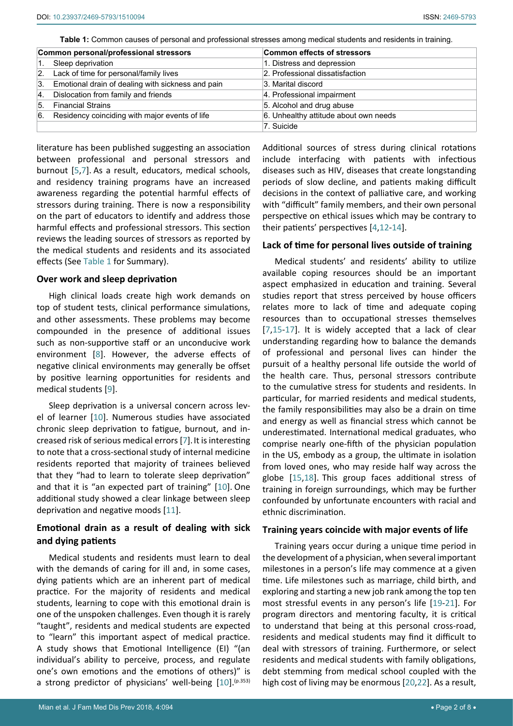<span id="page-1-0"></span>**Table 1:** Common causes of personal and professional stresses among medical students and residents in training.

| Common personal/professional stressors |                                                      | <b>Common effects of stressors</b>    |
|----------------------------------------|------------------------------------------------------|---------------------------------------|
| 1.                                     | Sleep deprivation                                    | 1. Distress and depression            |
|                                        | 2. Lack of time for personal/family lives            | 2. Professional dissatisfaction       |
|                                        | 3. Emotional drain of dealing with sickness and pain | 3. Marital discord                    |
|                                        | 4. Dislocation from family and friends               | 4. Professional impairment            |
|                                        | 5. Financial Strains                                 | 5. Alcohol and drug abuse             |
|                                        | 6. Residency coinciding with major events of life    | 6. Unhealthy attitude about own needs |
|                                        |                                                      | 7. Suicide                            |

literature has been published suggesting an association between professional and personal stressors and burnout [\[5](#page-5-3),[7](#page-5-7)]. As a result, educators, medical schools, and residency training programs have an increased awareness regarding the potential harmful effects of stressors during training. There is now a responsibility on the part of educators to identify and address those harmful effects and professional stressors. This section reviews the leading sources of stressors as reported by the medical students and residents and its associated effects (See [Table 1](#page-1-0) for Summary).

## **Over work and sleep deprivation**

High clinical loads create high work demands on top of student tests, clinical performance simulations, and other assessments. These problems may become compounded in the presence of additional issues such as non-supportive staff or an unconducive work environment [[8](#page-5-14)]. However, the adverse effects of negative clinical environments may generally be offset by positive learning opportunities for residents and medical students [[9](#page-5-15)].

Sleep deprivation is a universal concern across level of learner [[10](#page-5-16)]. Numerous studies have associated chronic sleep deprivation to fatigue, burnout, and increased risk of serious medical errors [\[7\]](#page-5-7).It is interesting to note that a cross-sectional study of internal medicine residents reported that majority of trainees believed that they "had to learn to tolerate sleep deprivation" and that it is "an expected part of training" [[10](#page-5-16)]. One additional study showed a clear linkage between sleep deprivation and negative moods [[11](#page-5-17)].

## **Emotional drain as a result of dealing with sick and dying patients**

Medical students and residents must learn to deal with the demands of caring for ill and, in some cases, dying patients which are an inherent part of medical practice. For the majority of residents and medical students, learning to cope with this emotional drain is one of the unspoken challenges. Even though it is rarely "taught", residents and medical students are expected to "learn" this important aspect of medical practice. A study shows that Emotional Intelligence (EI) "(an individual's ability to perceive, process, and regulate one's own emotions and the emotions of others)" is a strong predictor of physicians' well-being  $[10]$  $[10]$  $[10]$ .<sup>(p.353)</sup> Additional sources of stress during clinical rotations include interfacing with patients with infectious diseases such as HIV, diseases that create longstanding periods of slow decline, and patients making difficult decisions in the context of palliative care, and working with "difficult" family members, and their own personal perspective on ethical issues which may be contrary to their patients' perspectives [\[4](#page-5-1)[,12](#page-5-5)[-14](#page-5-6)].

## **Lack of time for personal lives outside of training**

Medical students' and residents' ability to utilize available coping resources should be an important aspect emphasized in education and training. Several studies report that stress perceived by house officers relates more to lack of time and adequate coping resources than to occupational stresses themselves [\[7](#page-5-7),[15-](#page-5-8)[17](#page-5-9)]. It is widely accepted that a lack of clear understanding regarding how to balance the demands of professional and personal lives can hinder the pursuit of a healthy personal life outside the world of the health care. Thus, personal stressors contribute to the cumulative stress for students and residents. In particular, for married residents and medical students, the family responsibilities may also be a drain on time and energy as well as financial stress which cannot be underestimated. International medical graduates, who comprise nearly one-fifth of the physician population in the US, embody as a group, the ultimate in isolation from loved ones, who may reside half way across the globe [\[15](#page-5-8)[,18](#page-5-10)]. This group faces additional stress of training in foreign surroundings, which may be further confounded by unfortunate encounters with racial and ethnic discrimination.

## **Training years coincide with major events of life**

Training years occur during a unique time period in the development of a physician, when several important milestones in a person's life may commence at a given time. Life milestones such as marriage, child birth, and exploring and starting a new job rank among the top ten most stressful events in any person's life [\[19](#page-5-11)-[21](#page-5-12)]. For program directors and mentoring faculty, it is critical to understand that being at this personal cross-road, residents and medical students may find it difficult to deal with stressors of training. Furthermore, or select residents and medical students with family obligations, debt stemming from medical school coupled with the high cost of living may be enormous [[20,](#page-5-13)[22](#page-6-0)]. As a result,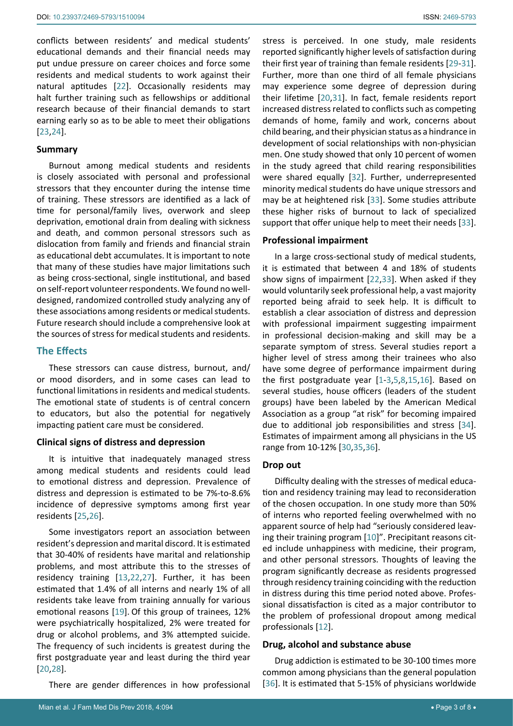conflicts between residents' and medical students' educational demands and their financial needs may put undue pressure on career choices and force some residents and medical students to work against their natural aptitudes [[22](#page-6-0)]. Occasionally residents may halt further training such as fellowships or additional research because of their financial demands to start earning early so as to be able to meet their obligations [[23](#page-6-9),[24\]](#page-6-10).

## **Summary**

Burnout among medical students and residents is closely associated with personal and professional stressors that they encounter during the intense time of training. These stressors are identified as a lack of time for personal/family lives, overwork and sleep deprivation, emotional drain from dealing with sickness and death, and common personal stressors such as dislocation from family and friends and financial strain as educational debt accumulates. It is important to note that many of these studies have major limitations such as being cross-sectional, single institutional, and based on self-report volunteer respondents. We found no welldesigned, randomized controlled study analyzing any of these associations among residents or medical students. Future research should include a comprehensive look at the sources of stress for medical students and residents.

## **The Effects**

These stressors can cause distress, burnout, and/ or mood disorders, and in some cases can lead to functional limitations in residents and medical students. The emotional state of students is of central concern to educators, but also the potential for negatively impacting patient care must be considered.

#### **Clinical signs of distress and depression**

It is intuitive that inadequately managed stress among medical students and residents could lead to emotional distress and depression. Prevalence of distress and depression is estimated to be 7%-to-8.6% incidence of depressive symptoms among first year residents [[25](#page-6-11),[26\]](#page-6-12).

Some investigators report an association between resident's depression and marital discord. It is estimated that 30-40% of residents have marital and relationship problems, and most attribute this to the stresses of residency training [\[13](#page-5-19)[,22](#page-6-0),[27](#page-6-13)]. Further, it has been estimated that 1.4% of all interns and nearly 1% of all residents take leave from training annually for various emotional reasons [\[19](#page-5-11)]. Of this group of trainees, 12% were psychiatrically hospitalized, 2% were treated for drug or alcohol problems, and 3% attempted suicide. The frequency of such incidents is greatest during the first postgraduate year and least during the third year [[20](#page-5-13),[28](#page-6-14)].

There are gender differences in how professional

stress is perceived. In one study, male residents reported significantly higher levels of satisfaction during their first year of training than female residents [[29](#page-6-1)[-31\]](#page-6-2). Further, more than one third of all female physicians may experience some degree of depression during their lifetime [[20](#page-5-13),[31](#page-6-2)]. In fact, female residents report increased distress related to conflicts such as competing demands of home, family and work, concerns about child bearing, and their physician status as a hindrance in development of social relationships with non-physician men. One study showed that only 10 percent of women in the study agreed that child rearing responsibilities were shared equally [\[32](#page-6-3)]. Further, underrepresented minority medical students do have unique stressors and may be at heightened risk [[33\]](#page-6-4). Some studies attribute these higher risks of burnout to lack of specialized support that offer unique help to meet their needs [\[33\]](#page-6-4).

#### **Professional impairment**

In a large cross-sectional study of medical students, it is estimated that between 4 and 18% of students show signs of impairment [[22](#page-6-0),[33](#page-6-4)]. When asked if they would voluntarily seek professional help, a vast majority reported being afraid to seek help. It is difficult to establish a clear association of distress and depression with professional impairment suggesting impairment in professional decision-making and skill may be a separate symptom of stress. Several studies report a higher level of stress among their trainees who also have some degree of performance impairment during the first postgraduate year [[1](#page-5-0)[-3](#page-5-2),[5](#page-5-3)[,8,](#page-5-14)[15](#page-5-8),[16](#page-5-18)]. Based on several studies, house officers (leaders of the student groups) have been labeled by the American Medical Association as a group "at risk" for becoming impaired due to additional job responsibilities and stress [\[34\]](#page-6-5). Estimates of impairment among all physicians in the US range from 10-12% [\[30](#page-6-6),[35](#page-6-7),[36](#page-6-8)].

#### **Drop out**

Difficulty dealing with the stresses of medical education and residency training may lead to reconsideration of the chosen occupation. In one study more than 50% of interns who reported feeling overwhelmed with no apparent source of help had "seriously considered leaving their training program [[10](#page-5-16)]". Precipitant reasons cited include unhappiness with medicine, their program, and other personal stressors. Thoughts of leaving the program significantly decrease as residents progressed through residency training coinciding with the reduction in distress during this time period noted above. Professional dissatisfaction is cited as a major contributor to the problem of professional dropout among medical professionals [[12](#page-5-5)].

## **Drug, alcohol and substance abuse**

Drug addiction is estimated to be 30-100 times more common among physicians than the general population [\[36](#page-6-8)]. It is estimated that 5-15% of physicians worldwide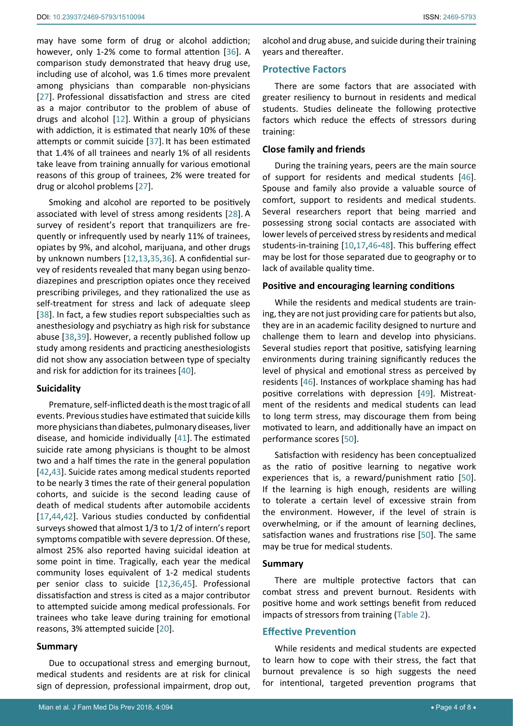may have some form of drug or alcohol addiction; however, only 1-2% come to formal attention [[36\]](#page-6-8). A comparison study demonstrated that heavy drug use, including use of alcohol, was 1.6 times more prevalent among physicians than comparable non-physicians [[27](#page-6-13)]. Professional dissatisfaction and stress are cited as a major contributor to the problem of abuse of drugs and alcohol [[12](#page-5-5)]. Within a group of physicians with addiction, it is estimated that nearly 10% of these attempts or commit suicide [\[37](#page-6-19)]. It has been estimated that 1.4% of all trainees and nearly 1% of all residents take leave from training annually for various emotional reasons of this group of trainees, 2% were treated for drug or alcohol problems [[27\]](#page-6-13).

Smoking and alcohol are reported to be positively associated with level of stress among residents [[28](#page-6-14)]. A survey of resident's report that tranquilizers are frequently or infrequently used by nearly 11% of trainees, opiates by 9%, and alcohol, marijuana, and other drugs by unknown numbers [[12,](#page-5-5)[13](#page-5-19),[35](#page-6-7),[36](#page-6-8)]. A confidential survey of residents revealed that many began using benzodiazepines and prescription opiates once they received prescribing privileges, and they rationalized the use as self-treatment for stress and lack of adequate sleep [[38](#page-6-20)]. In fact, a few studies report subspecialties such as anesthesiology and psychiatry as high risk for substance abuse [\[38](#page-6-20),[39](#page-6-21)]. However, a recently published follow up study among residents and practicing anesthesiologists did not show any association between type of specialty and risk for addiction for its trainees [\[40](#page-6-22)].

#### **Suicidality**

Premature, self-inflicted death is the most tragic of all events. Previous studies have estimated that suicide kills more physicians than diabetes, pulmonary diseases, liver disease, and homicide individually [[41\]](#page-6-23). The estimated suicide rate among physicians is thought to be almost two and a half times the rate in the general population [[42](#page-6-24),[43\]](#page-6-25). Suicide rates among medical students reported to be nearly 3 times the rate of their general population cohorts, and suicide is the second leading cause of death of medical students after automobile accidents [[17](#page-5-9),[44](#page-6-26),[42\]](#page-6-24). Various studies conducted by confidential surveys showed that almost 1/3 to 1/2 of intern's report symptoms compatible with severe depression. Of these, almost 25% also reported having suicidal ideation at some point in time. Tragically, each year the medical community loses equivalent of 1-2 medical students per senior class to suicide [[12](#page-5-5),[36](#page-6-8),[45\]](#page-6-27). Professional dissatisfaction and stress is cited as a major contributor to attempted suicide among medical professionals. For trainees who take leave during training for emotional reasons, 3% attempted suicide [[20](#page-5-13)].

#### **Summary**

Due to occupational stress and emerging burnout, medical students and residents are at risk for clinical sign of depression, professional impairment, drop out,

alcohol and drug abuse, and suicide during their training years and thereafter.

## **Protective Factors**

There are some factors that are associated with greater resiliency to burnout in residents and medical students. Studies delineate the following protective factors which reduce the effects of stressors during training:

## **Close family and friends**

During the training years, peers are the main source of support for residents and medical students [\[46\]](#page-6-15). Spouse and family also provide a valuable source of comfort, support to residents and medical students. Several researchers report that being married and possessing strong social contacts are associated with lower levels of perceived stress by residents and medical students-in-training [[10,](#page-5-16)[17](#page-5-9),[46](#page-6-15)-[48](#page-6-16)]. This buffering effect may be lost for those separated due to geography or to lack of available quality time.

## **Positive and encouraging learning conditions**

While the residents and medical students are training, they are not just providing care for patients but also, they are in an academic facility designed to nurture and challenge them to learn and develop into physicians. Several studies report that positive, satisfying learning environments during training significantly reduces the level of physical and emotional stress as perceived by residents [[46](#page-6-15)]. Instances of workplace shaming has had positive correlations with depression [\[49](#page-6-17)]. Mistreatment of the residents and medical students can lead to long term stress, may discourage them from being motivated to learn, and additionally have an impact on performance scores [\[50\]](#page-6-18).

Satisfaction with residency has been conceptualized as the ratio of positive learning to negative work experiences that is, a reward/punishment ratio [\[50\]](#page-6-18). If the learning is high enough, residents are willing to tolerate a certain level of excessive strain from the environment. However, if the level of strain is overwhelming, or if the amount of learning declines, satisfaction wanes and frustrations rise [[50\]](#page-6-18). The same may be true for medical students.

## **Summary**

There are multiple protective factors that can combat stress and prevent burnout. Residents with positive home and work settings benefit from reduced impacts of stressors from training ([Table 2](#page-4-0)).

## **Effective Prevention**

While residents and medical students are expected to learn how to cope with their stress, the fact that burnout prevalence is so high suggests the need for intentional, targeted prevention programs that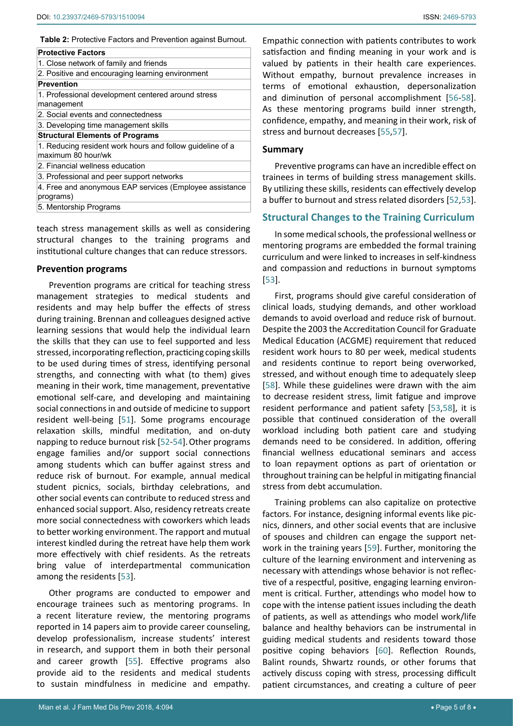<span id="page-4-0"></span>**Table 2:** Protective Factors and Prevention against Burnout.

| <b>Protective Factors</b>              |                                                           |
|----------------------------------------|-----------------------------------------------------------|
| 1. Close network of family and friends |                                                           |
|                                        | 2. Positive and encouraging learning environment          |
| <b>Prevention</b>                      |                                                           |
| management                             | 1. Professional development centered around stress        |
| 2. Social events and connectedness     |                                                           |
| 3. Developing time management skills   |                                                           |
| <b>Structural Elements of Programs</b> |                                                           |
| maximum 80 hour/wk                     | 1. Reducing resident work hours and follow quideline of a |
| 2. Financial wellness education        |                                                           |
|                                        | 3. Professional and peer support networks                 |
| programs)                              | 4. Free and anonymous EAP services (Employee assistance   |
| 5. Mentorship Programs                 |                                                           |

teach stress management skills as well as considering structural changes to the training programs and institutional culture changes that can reduce stressors.

#### **Prevention programs**

Prevention programs are critical for teaching stress management strategies to medical students and residents and may help buffer the effects of stress during training. Brennan and colleagues designed active learning sessions that would help the individual learn the skills that they can use to feel supported and less stressed, incorporating reflection, practicing coping skills to be used during times of stress, identifying personal strengths, and connecting with what (to them) gives meaning in their work, time management, preventative emotional self-care, and developing and maintaining social connections in and outside of medicine to support resident well-being [[51\]](#page-6-35). Some programs encourage relaxation skills, mindful meditation, and on-duty napping to reduce burnout risk [\[52](#page-6-32)-[54\]](#page-6-36). Other programs engage families and/or support social connections among students which can buffer against stress and reduce risk of burnout. For example, annual medical student picnics, socials, birthday celebrations, and other social events can contribute to reduced stress and enhanced social support. Also, residency retreats create more social connectedness with coworkers which leads to better working environment. The rapport and mutual interest kindled during the retreat have help them work more effectively with chief residents. As the retreats bring value of interdepartmental communication among the residents [\[53](#page-6-33)].

Other programs are conducted to empower and encourage trainees such as mentoring programs. In a recent literature review, the mentoring programs reported in 14 papers aim to provide career counseling, develop professionalism, increase students' interest in research, and support them in both their personal and career growth [[55\]](#page-6-30). Effective programs also provide aid to the residents and medical students to sustain mindfulness in medicine and empathy.

Empathic connection with patients contributes to work satisfaction and finding meaning in your work and is valued by patients in their health care experiences. Without empathy, burnout prevalence increases in terms of emotional exhaustion, depersonalization and diminution of personal accomplishment [[56](#page-6-28)[-58\]](#page-6-29). As these mentoring programs build inner strength, confidence, empathy, and meaning in their work, risk of stress and burnout decreases [[55](#page-6-30),[57\]](#page-6-31).

#### **Summary**

Preventive programs can have an incredible effect on trainees in terms of building stress management skills. By utilizing these skills, residents can effectively develop a buffer to burnout and stress related disorders [[52](#page-6-32),[53\]](#page-6-33).

## **Structural Changes to the Training Curriculum**

In some medical schools, the professional wellness or mentoring programs are embedded the formal training curriculum and were linked to increases in self-kindness and compassion and reductions in burnout symptoms [\[53](#page-6-33)].

First, programs should give careful consideration of clinical loads, studying demands, and other workload demands to avoid overload and reduce risk of burnout. Despite the 2003 the Accreditation Council for Graduate Medical Education (ACGME) requirement that reduced resident work hours to 80 per week, medical students and residents continue to report being overworked, stressed, and without enough time to adequately sleep [\[58](#page-6-29)]. While these guidelines were drawn with the aim to decrease resident stress, limit fatigue and improve resident performance and patient safety [\[53](#page-6-33),[58](#page-6-29)], it is possible that continued consideration of the overall workload including both patient care and studying demands need to be considered. In addition, offering financial wellness educational seminars and access to loan repayment options as part of orientation or throughout training can be helpful in mitigating financial stress from debt accumulation.

Training problems can also capitalize on protective factors. For instance, designing informal events like picnics, dinners, and other social events that are inclusive of spouses and children can engage the support network in the training years [\[59](#page-6-34)]. Further, monitoring the culture of the learning environment and intervening as necessary with attendings whose behavior is not reflective of a respectful, positive, engaging learning environment is critical. Further, attendings who model how to cope with the intense patient issues including the death of patients, as well as attendings who model work/life balance and healthy behaviors can be instrumental in guiding medical students and residents toward those positive coping behaviors [\[60](#page-7-0)]. Reflection Rounds, Balint rounds, Shwartz rounds, or other forums that actively discuss coping with stress, processing difficult patient circumstances, and creating a culture of peer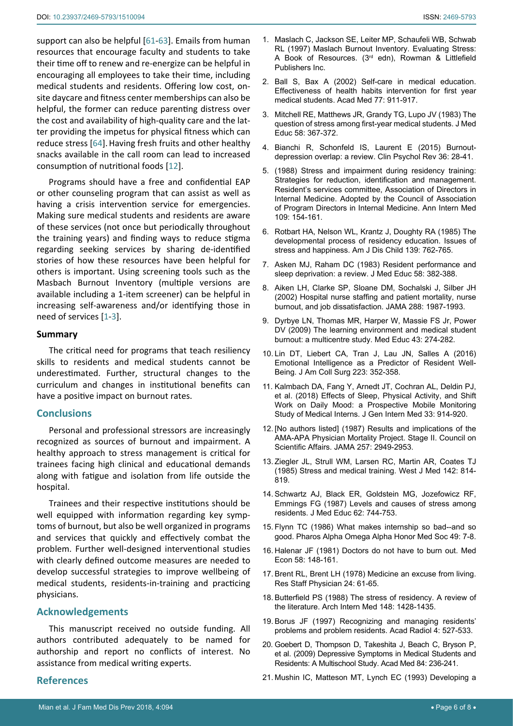support can also be helpful [\[61](#page-7-1)-[63](#page-7-2)]. Emails from human resources that encourage faculty and students to take their time off to renew and re-energize can be helpful in encouraging all employees to take their time, including medical students and residents. Offering low cost, onsite daycare and fitness center memberships can also be helpful, the former can reduce parenting distress over the cost and availability of high-quality care and the latter providing the impetus for physical fitness which can reduce stress [[64\]](#page-7-3).Having fresh fruits and other healthy snacks available in the call room can lead to increased consumption of nutritional foods [[12](#page-5-5)].

Programs should have a free and confidential EAP or other counseling program that can assist as well as having a crisis intervention service for emergencies. Making sure medical students and residents are aware of these services (not once but periodically throughout the training years) and finding ways to reduce stigma regarding seeking services by sharing de-identified stories of how these resources have been helpful for others is important. Using screening tools such as the Masbach Burnout Inventory (multiple versions are available including a 1-item screener) can be helpful in increasing self-awareness and/or identifying those in need of services [[1](#page-5-0)[-3](#page-5-2)].

#### **Summary**

The critical need for programs that teach resiliency skills to residents and medical students cannot be underestimated. Further, structural changes to the curriculum and changes in institutional benefits can have a positive impact on burnout rates.

#### **Conclusions**

Personal and professional stressors are increasingly recognized as sources of burnout and impairment. A healthy approach to stress management is critical for trainees facing high clinical and educational demands along with fatigue and isolation from life outside the hospital.

Trainees and their respective institutions should be well equipped with information regarding key symptoms of burnout, but also be well organized in programs and services that quickly and effectively combat the problem. Further well-designed interventional studies with clearly defined outcome measures are needed to develop successful strategies to improve wellbeing of medical students, residents-in-training and practicing physicians.

## **Acknowledgements**

This manuscript received no outside funding. All authors contributed adequately to be named for authorship and report no conflicts of interest. No assistance from medical writing experts.

## **References**

- <span id="page-5-0"></span>1. [Maslach C, Jackson SE, Leiter MP, Schaufeli WB, Schwab](https://www.mindgarden.com/117-maslach-burnout-inventory)  [RL \(1997\) Maslach Burnout Inventory. Evaluating Stress:](https://www.mindgarden.com/117-maslach-burnout-inventory)  A Book of Resources. (3rd [edn\), Rowman & Littlefield](https://www.mindgarden.com/117-maslach-burnout-inventory)  [Publishers Inc.](https://www.mindgarden.com/117-maslach-burnout-inventory)
- 2. [Ball S, Bax A \(2002\) Self-care in medical education.](https://www.ncbi.nlm.nih.gov/pubmed/12228090)  [Effectiveness of health habits intervention for first year](https://www.ncbi.nlm.nih.gov/pubmed/12228090)  [medical students. Acad Med 77: 911-917.](https://www.ncbi.nlm.nih.gov/pubmed/12228090)
- <span id="page-5-2"></span>3. [Mitchell RE, Matthews JR, Grandy TG, Lupo JV \(1983\) The](http://www.ncbi.nlm.nih.gov/pubmed/6854594)  [question of stress among first-year medical students. J Med](http://www.ncbi.nlm.nih.gov/pubmed/6854594)  [Educ 58: 367-372.](http://www.ncbi.nlm.nih.gov/pubmed/6854594)
- <span id="page-5-1"></span>4. [Bianchi R, Schonfeld IS, Laurent E \(2015\) Burnout](http://www.ncbi.nlm.nih.gov/pubmed/25638755)[depression overlap: a review. Clin Psychol Rev 36: 28-41.](http://www.ncbi.nlm.nih.gov/pubmed/25638755)
- <span id="page-5-3"></span>5. [\(1988\) Stress and impairment during residency training:](https://www.ncbi.nlm.nih.gov/pubmed/3382106)  [Strategies for reduction, identification and management.](https://www.ncbi.nlm.nih.gov/pubmed/3382106)  [Resident's services committee, Association of Directors in](https://www.ncbi.nlm.nih.gov/pubmed/3382106)  [Internal Medicine. Adopted by the Council of Association](https://www.ncbi.nlm.nih.gov/pubmed/3382106)  [of Program Directors in Internal Medicine. Ann Intern Med](https://www.ncbi.nlm.nih.gov/pubmed/3382106)  [109: 154-161.](https://www.ncbi.nlm.nih.gov/pubmed/3382106)
- <span id="page-5-4"></span>6. [Rotbart HA, Nelson WL, Krantz J, Doughty RA \(1985\) The](http://www.ncbi.nlm.nih.gov/pubmed/4025255)  [developmental process of residency education. Issues of](http://www.ncbi.nlm.nih.gov/pubmed/4025255)  [stress and happiness. Am J Dis Child 139: 762-765.](http://www.ncbi.nlm.nih.gov/pubmed/4025255)
- <span id="page-5-7"></span>7. [Asken MJ, Raham DC \(1983\) Resident performance and](http://www.ncbi.nlm.nih.gov/pubmed/6343602)  [sleep deprivation: a review. J Med Educ 58: 382-388.](http://www.ncbi.nlm.nih.gov/pubmed/6343602)
- <span id="page-5-14"></span>8. [Aiken LH, Clarke SP, Sloane DM, Sochalski J, Silber JH](http://www.ncbi.nlm.nih.gov/pubmed/12387650)  [\(2002\) Hospital nurse staffing and patient mortality, nurse](http://www.ncbi.nlm.nih.gov/pubmed/12387650)  [burnout, and job dissatisfaction. JAMA 288: 1987-1993.](http://www.ncbi.nlm.nih.gov/pubmed/12387650)
- <span id="page-5-15"></span>9. Dyrbye LN, Thomas MR, Harper W, [Massie FS Jr,](https://www.ncbi.nlm.nih.gov/pubmed/19250355) Power [DV \(2009\) The learning environment and medical student](https://www.ncbi.nlm.nih.gov/pubmed/19250355)  [burnout: a multicentre study. Med Educ 43: 274-282.](https://www.ncbi.nlm.nih.gov/pubmed/19250355)
- <span id="page-5-16"></span>10. [Lin DT, Liebert CA, Tran J, Lau JN, Salles A \(2016\)](https://www.ncbi.nlm.nih.gov/pubmed/27182037)  [Emotional Intelligence as a Predictor of Resident Well-](https://www.ncbi.nlm.nih.gov/pubmed/27182037)[Being. J Am Coll Surg 223: 352-358.](https://www.ncbi.nlm.nih.gov/pubmed/27182037)
- <span id="page-5-17"></span>11. [Kalmbach DA, Fang Y, Arnedt JT, Cochran AL,](https://www.ncbi.nlm.nih.gov/pubmed/29542006) Deldin PJ, [et al. \(2018\) Effects of Sleep, Physical Activity, and Shift](https://www.ncbi.nlm.nih.gov/pubmed/29542006)  [Work on Daily Mood: a Prospective Mobile Monitoring](https://www.ncbi.nlm.nih.gov/pubmed/29542006)  [Study of Medical Interns. J Gen Intern Med 33: 914-920.](https://www.ncbi.nlm.nih.gov/pubmed/29542006)
- <span id="page-5-5"></span>12. [\[No authors listed\] \(1987\) Results and implications of the](http://www.ncbi.nlm.nih.gov/pubmed/3573294)  [AMA-APA Physician Mortality Project. Stage II. Council on](http://www.ncbi.nlm.nih.gov/pubmed/3573294)  [Scientific Affairs. JAMA 257: 2949-2953.](http://www.ncbi.nlm.nih.gov/pubmed/3573294)
- <span id="page-5-19"></span>13. [Ziegler JL, Strull WM, Larsen RC, Martin AR, Coates TJ](http://www.ncbi.nlm.nih.gov/pubmed/4024634)  [\(1985\) Stress and medical training. West J Med 142: 814-](http://www.ncbi.nlm.nih.gov/pubmed/4024634) [819.](http://www.ncbi.nlm.nih.gov/pubmed/4024634)
- <span id="page-5-6"></span>14. [Schwartz AJ, Black ER, Goldstein MG, Jozefowicz RF,](http://www.ncbi.nlm.nih.gov/pubmed/3625739)  [Emmings FG \(1987\) Levels and causes of stress among](http://www.ncbi.nlm.nih.gov/pubmed/3625739)  [residents. J Med Educ 62: 744-753.](http://www.ncbi.nlm.nih.gov/pubmed/3625739)
- <span id="page-5-8"></span>15. [Flynn TC \(1986\) What makes internship so bad--and so](http://www.ncbi.nlm.nih.gov/pubmed/3703922)  [good. Pharos Alpha Omega Alpha Honor Med Soc 49: 7-8.](http://www.ncbi.nlm.nih.gov/pubmed/3703922)
- <span id="page-5-18"></span>16. Halenar JF (1981) Doctors do not have to burn out. Med Econ 58: 148-161.
- <span id="page-5-9"></span>17. Brent RL, Brent LH (1978) Medicine an excuse from living. Res Staff Physician 24: 61-65.
- <span id="page-5-10"></span>18. [Butterfield PS \(1988\) The stress of residency. A review of](http://www.ncbi.nlm.nih.gov/pubmed/3288162)  [the literature. Arch Intern Med 148: 1428-1435.](http://www.ncbi.nlm.nih.gov/pubmed/3288162)
- <span id="page-5-11"></span>19. [Borus JF \(1997\) Recognizing and managing residents'](http://www.ncbi.nlm.nih.gov/pubmed/9232173)  [problems and problem residents. Acad Radiol 4: 527-533.](http://www.ncbi.nlm.nih.gov/pubmed/9232173)
- <span id="page-5-13"></span>20. [Goebert D, Thompson D, Takeshita J, Beach C,](https://www.ncbi.nlm.nih.gov/pubmed/19174678) Bryson P, [et al. \(2009\) Depressive Symptoms in Medical Students and](https://www.ncbi.nlm.nih.gov/pubmed/19174678)  [Residents: A Multischool Study. Acad Med 84: 236-241.](https://www.ncbi.nlm.nih.gov/pubmed/19174678)
- <span id="page-5-12"></span>21. [Mushin IC, Matteson MT, Lynch EC \(1993\) Developing a](http://www.ncbi.nlm.nih.gov/pubmed/8447711)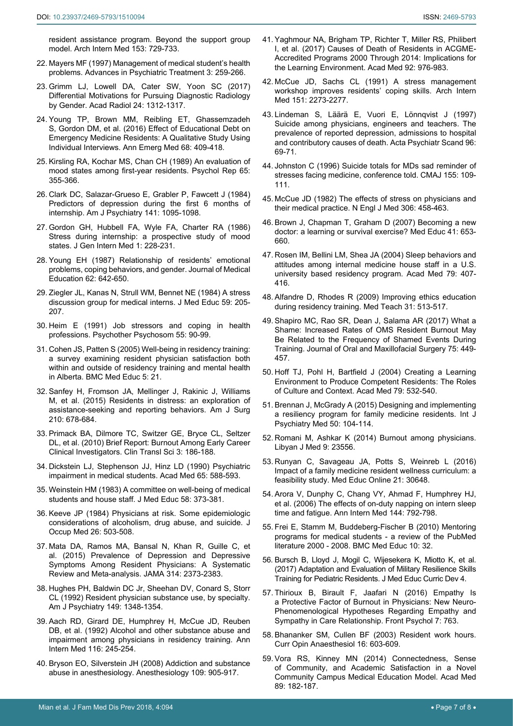- <span id="page-6-0"></span>22. Mayers MF (1997) Management of medical student's health problems. Advances in Psychiatric Treatment 3: 259-266.
- <span id="page-6-9"></span>23. [Grimm LJ, Lowell DA, Cater SW, Yoon SC \(2017\)](https://www.ncbi.nlm.nih.gov/pubmed/28552374)  [Differential Motivations for Pursuing Diagnostic Radiology](https://www.ncbi.nlm.nih.gov/pubmed/28552374)  [by Gender. Acad Radiol 24: 1312-1317.](https://www.ncbi.nlm.nih.gov/pubmed/28552374)
- <span id="page-6-10"></span>24. [Young TP, Brown MM, Reibling ET,](https://www.ncbi.nlm.nih.gov/pubmed/27181080) Ghassemzadeh S, [Gordon DM, et al. \(2016\) Effect of Educational Debt on](https://www.ncbi.nlm.nih.gov/pubmed/27181080)  [Emergency Medicine Residents: A Qualitative Study Using](https://www.ncbi.nlm.nih.gov/pubmed/27181080)  [Individual Interviews. Ann Emerg Med 68: 409-418.](https://www.ncbi.nlm.nih.gov/pubmed/27181080)
- <span id="page-6-11"></span>25. [Kirsling RA, Kochar MS, Chan CH \(1989\) An evaluation of](http://www.ncbi.nlm.nih.gov/pubmed/2798654)  [mood states among first-year residents. Psychol Rep 65:](http://www.ncbi.nlm.nih.gov/pubmed/2798654)  [355-366.](http://www.ncbi.nlm.nih.gov/pubmed/2798654)
- <span id="page-6-12"></span>26. [Clark DC, Salazar-Grueso E, Grabler P, Fawcett J \(1984\)](http://www.ncbi.nlm.nih.gov/pubmed/6465388)  [Predictors of depression during the first 6 months of](http://www.ncbi.nlm.nih.gov/pubmed/6465388)  [internship. Am J Psychiatry 141: 1095-1098.](http://www.ncbi.nlm.nih.gov/pubmed/6465388)
- <span id="page-6-13"></span>27. [Gordon GH, Hubbell FA, Wyle FA, Charter RA \(1986\)](http://www.ncbi.nlm.nih.gov/pubmed/3772596)  [Stress during internship: a prospective study of mood](http://www.ncbi.nlm.nih.gov/pubmed/3772596)  [states. J Gen Intern Med 1: 228-231.](http://www.ncbi.nlm.nih.gov/pubmed/3772596)
- <span id="page-6-14"></span>28. [Young EH \(1987\) Relationship of residents' emotional](http://psycnet.apa.org/record/1988-30949-001)  [problems, coping behaviors, and gender. Journal of Medical](http://psycnet.apa.org/record/1988-30949-001)  [Education 62: 642-650.](http://psycnet.apa.org/record/1988-30949-001)
- <span id="page-6-1"></span>29. [Ziegler JL, Kanas N, Strull WM, Bennet NE \(1984\) A stress](http://www.ncbi.nlm.nih.gov/pubmed/6699897)  [discussion group for medical interns. J Med Educ 59: 205-](http://www.ncbi.nlm.nih.gov/pubmed/6699897) [207.](http://www.ncbi.nlm.nih.gov/pubmed/6699897)
- <span id="page-6-6"></span>30. [Heim E \(1991\) Job stressors and coping in health](http://www.ncbi.nlm.nih.gov/pubmed/1891573)  [professions. Psychother Psychosom 55: 90-99.](http://www.ncbi.nlm.nih.gov/pubmed/1891573)
- <span id="page-6-2"></span>31. [Cohen JS, Patten S \(2005\) Well-being in residency training:](https://www.ncbi.nlm.nih.gov/pubmed/15972100)  [a survey examining resident physician satisfaction both](https://www.ncbi.nlm.nih.gov/pubmed/15972100)  [within and outside of residency training and mental health](https://www.ncbi.nlm.nih.gov/pubmed/15972100)  [in Alberta. BMC Med Educ 5:](https://www.ncbi.nlm.nih.gov/pubmed/15972100) 21.
- <span id="page-6-3"></span>32. [Sanfey H, Fromson JA, Mellinger J, Rakinic J, Williams](http://www.ncbi.nlm.nih.gov/pubmed/26193800)  [M, et al. \(2015\) Residents in distress: an exploration of](http://www.ncbi.nlm.nih.gov/pubmed/26193800)  [assistance-seeking and reporting behaviors. Am J Surg](http://www.ncbi.nlm.nih.gov/pubmed/26193800)  [210: 678-684.](http://www.ncbi.nlm.nih.gov/pubmed/26193800)
- <span id="page-6-4"></span>33. [Primack BA, Dilmore TC, Switzer GE, Bryce CL, Seltzer](https://www.ncbi.nlm.nih.gov/pmc/articles/PMC2925292/)  [DL, et al. \(2010\) Brief Report: Burnout Among Early Career](https://www.ncbi.nlm.nih.gov/pmc/articles/PMC2925292/)  [Clinical Investigators. Clin Transl Sci 3: 186-188.](https://www.ncbi.nlm.nih.gov/pmc/articles/PMC2925292/)
- <span id="page-6-5"></span>34. [Dickstein LJ, Stephenson JJ, Hinz LD \(1990\) Psychiatric](http://www.ncbi.nlm.nih.gov/pubmed/2400478)  [impairment in medical students. Acad Med 65: 588-593.](http://www.ncbi.nlm.nih.gov/pubmed/2400478)
- <span id="page-6-7"></span>35. [Weinstein HM \(1983\) A committee on well-being of medical](http://www.ncbi.nlm.nih.gov/pubmed/6854595)  [students and house staff. J Med Educ 58: 373-381.](http://www.ncbi.nlm.nih.gov/pubmed/6854595)
- <span id="page-6-8"></span>36. [Keeve JP \(1984\) Physicians at risk. Some epidemiologic](http://www.ncbi.nlm.nih.gov/pubmed/6747737)  [considerations of alcoholism, drug abuse, and suicide. J](http://www.ncbi.nlm.nih.gov/pubmed/6747737)  [Occup Med 26: 503-508.](http://www.ncbi.nlm.nih.gov/pubmed/6747737)
- <span id="page-6-19"></span>37. [Mata DA, Ramos MA, Bansal N, Khan R, Guille C, et](https://www.ncbi.nlm.nih.gov/pubmed/26647259)  [al. \(2015\) Prevalence of Depression and Depressive](https://www.ncbi.nlm.nih.gov/pubmed/26647259)  [Symptoms Among Resident Physicians: A Systematic](https://www.ncbi.nlm.nih.gov/pubmed/26647259)  [Review and Meta-analysis. JAMA 314: 2373-2383.](https://www.ncbi.nlm.nih.gov/pubmed/26647259)
- <span id="page-6-20"></span>38. [Hughes PH, Baldwin DC Jr, Sheehan DV, Conard S, Storr](http://www.ncbi.nlm.nih.gov/pubmed/1530071)  [CL \(1992\) Resident physician substance use, by specialty.](http://www.ncbi.nlm.nih.gov/pubmed/1530071)  [Am J Psychiatry 149: 1348-1354.](http://www.ncbi.nlm.nih.gov/pubmed/1530071)
- <span id="page-6-21"></span>39. [Aach RD, Girard DE, Humphrey H, McCue JD, Reuben](http://www.ncbi.nlm.nih.gov/pubmed/1728207)  [DB, et al. \(1992\) Alcohol and other substance abuse and](http://www.ncbi.nlm.nih.gov/pubmed/1728207)  [impairment among physicians in residency training. Ann](http://www.ncbi.nlm.nih.gov/pubmed/1728207)  [Intern Med 116: 245-254.](http://www.ncbi.nlm.nih.gov/pubmed/1728207)
- <span id="page-6-22"></span>40. [Bryson EO, Silverstein JH \(2008\) Addiction and substance](https://www.ncbi.nlm.nih.gov/pubmed/18946304)  [abuse in anesthesiology. Anesthesiology 109: 905-917.](https://www.ncbi.nlm.nih.gov/pubmed/18946304)
- <span id="page-6-23"></span>41. [Yaghmour NA, Brigham TP, Richter T, Miller RS, Philibert](http://www.ncbi.nlm.nih.gov/pubmed/28514230)  [I, et al. \(2017\) Causes of Death of Residents in ACGME-](http://www.ncbi.nlm.nih.gov/pubmed/28514230)[Accredited Programs 2000 Through 2014: Implications for](http://www.ncbi.nlm.nih.gov/pubmed/28514230)  [the Learning Environment. Acad Med 92: 976-983.](http://www.ncbi.nlm.nih.gov/pubmed/28514230)
- <span id="page-6-24"></span>42. [McCue JD, Sachs CL \(1991\) A stress management](http://www.ncbi.nlm.nih.gov/pubmed/1953233)  [workshop improves residents' coping skills. Arch Intern](http://www.ncbi.nlm.nih.gov/pubmed/1953233)  [Med 151: 2273-2277.](http://www.ncbi.nlm.nih.gov/pubmed/1953233)
- <span id="page-6-25"></span>43. Lindeman S, Läärä E, Vuori E, [Lönnqvist J \(1997\)](https://www.ncbi.nlm.nih.gov/pubmed/9259227)  [Suicide among physicians, engineers and teachers. The](https://www.ncbi.nlm.nih.gov/pubmed/9259227)  [prevalence of reported depression, admissions to hospital](https://www.ncbi.nlm.nih.gov/pubmed/9259227)  [and contributory causes of death. Acta Psychiatr Scand 96:](https://www.ncbi.nlm.nih.gov/pubmed/9259227)  [69-71.](https://www.ncbi.nlm.nih.gov/pubmed/9259227)
- <span id="page-6-26"></span>44. [Johnston C \(1996\) Suicide totals for MDs sad reminder of](http://www.ncbi.nlm.nih.gov/pubmed/8673972)  [stresses facing medicine, conference told. CMAJ 155: 109-](http://www.ncbi.nlm.nih.gov/pubmed/8673972) [111.](http://www.ncbi.nlm.nih.gov/pubmed/8673972)
- <span id="page-6-27"></span>45. [McCue JD \(1982\) The effects of stress on physicians and](http://www.ncbi.nlm.nih.gov/pubmed/7057844)  [their medical practice. N Engl J Med 306: 458-463.](http://www.ncbi.nlm.nih.gov/pubmed/7057844)
- <span id="page-6-15"></span>46. [Brown J, Chapman T, Graham D \(2007\) Becoming a new](http://www.ncbi.nlm.nih.gov/pubmed/17614885)  [doctor: a learning or survival exercise? Med Educ 41: 653-](http://www.ncbi.nlm.nih.gov/pubmed/17614885) [660.](http://www.ncbi.nlm.nih.gov/pubmed/17614885)
- 47. [Rosen IM, Bellini LM, Shea JA \(2004\) Sleep behaviors and](https://www.ncbi.nlm.nih.gov/pubmed/15107279)  [attitudes among internal medicine house staff in a U.S.](https://www.ncbi.nlm.nih.gov/pubmed/15107279)  [university based residency program. Acad Med 79: 407-](https://www.ncbi.nlm.nih.gov/pubmed/15107279) [416.](https://www.ncbi.nlm.nih.gov/pubmed/15107279)
- <span id="page-6-16"></span>48. [Alfandre D, Rhodes R \(2009\) Improving ethics education](http://www.ncbi.nlm.nih.gov/pubmed/19811167)  [during residency training. Med Teach 31: 513-517.](http://www.ncbi.nlm.nih.gov/pubmed/19811167)
- <span id="page-6-17"></span>49. [Shapiro MC, Rao SR, Dean J, Salama AR \(2017\) What a](https://www.sciencedirect.com/science/article/pii/S0278239116307741)  [Shame: Increased Rates of OMS Resident Burnout May](https://www.sciencedirect.com/science/article/pii/S0278239116307741)  [Be Related to the Frequency of Shamed Events During](https://www.sciencedirect.com/science/article/pii/S0278239116307741)  [Training. Journal of Oral and Maxillofacial Surgery 75: 449-](https://www.sciencedirect.com/science/article/pii/S0278239116307741) [457.](https://www.sciencedirect.com/science/article/pii/S0278239116307741)
- <span id="page-6-18"></span>50. [Hoff TJ, Pohl H, Bartfield J \(2004\) Creating a Learning](https://www.ncbi.nlm.nih.gov/pubmed/15165972)  [Environment to Produce Competent Residents: The Roles](https://www.ncbi.nlm.nih.gov/pubmed/15165972)  [of Culture and Context. Acad Med 79: 532-540.](https://www.ncbi.nlm.nih.gov/pubmed/15165972)
- <span id="page-6-35"></span>51. [Brennan J, McGrady A \(2015\) Designing and implementing](http://www.ncbi.nlm.nih.gov/pubmed/26130769)  [a resiliency program for family medicine residents. Int J](http://www.ncbi.nlm.nih.gov/pubmed/26130769)  [Psychiatry Med 50: 104-114.](http://www.ncbi.nlm.nih.gov/pubmed/26130769)
- <span id="page-6-32"></span>52. Romani M, [Ashkar K \(2014\) Burnout](https://www.ncbi.nlm.nih.gov/pmc/articles/PMC3929077/) among physicians. [Libyan J Med 9: 23556.](https://www.ncbi.nlm.nih.gov/pmc/articles/PMC3929077/)
- <span id="page-6-33"></span>53. [Runyan C, Savageau JA, Potts S, Weinreb L \(2016\)](http://www.ncbi.nlm.nih.gov/pubmed/27282276)  [Impact of a family medicine resident wellness curriculum: a](http://www.ncbi.nlm.nih.gov/pubmed/27282276)  [feasibility study. Med Educ Online 21: 30648.](http://www.ncbi.nlm.nih.gov/pubmed/27282276)
- <span id="page-6-36"></span>54. [Arora V, Dunphy C, Chang VY, Ahmad F, Humphrey HJ,](http://www.ncbi.nlm.nih.gov/pubmed/16754921)  [et al. \(2006\) The effects of on-duty napping on intern sleep](http://www.ncbi.nlm.nih.gov/pubmed/16754921)  [time and fatigue. Ann Intern Med 144: 792-798.](http://www.ncbi.nlm.nih.gov/pubmed/16754921)
- <span id="page-6-30"></span>55. [Frei E, Stamm M, Buddeberg-Fischer B \(2010\) Mentoring](https://www.ncbi.nlm.nih.gov/pmc/articles/PMC2881011/)  [programs for medical students - a review of the PubMed](https://www.ncbi.nlm.nih.gov/pmc/articles/PMC2881011/)  [literature 2000 - 2008. BMC Med Educ 10: 32.](https://www.ncbi.nlm.nih.gov/pmc/articles/PMC2881011/)
- <span id="page-6-28"></span>56. [Bursch B, Lloyd J, Mogil C, Wijesekera K,](https://www.ncbi.nlm.nih.gov/pubmed/29349344) Miotto K, et al. [\(2017\) Adaptation and Evaluation of Military Resilience Skills](https://www.ncbi.nlm.nih.gov/pubmed/29349344)  [Training for Pediatric Residents. J Med Educ Curric Dev 4.](https://www.ncbi.nlm.nih.gov/pubmed/29349344)
- <span id="page-6-31"></span>57. Thirioux B, Birault F, [Jaafari N \(2016\) Empathy](https://www.ncbi.nlm.nih.gov/pmc/articles/PMC4880744/) Is a Protective Factor of Burnout in [Physicians: New Neuro-](https://www.ncbi.nlm.nih.gov/pmc/articles/PMC4880744/)[Phenomenological Hypotheses Regarding](https://www.ncbi.nlm.nih.gov/pmc/articles/PMC4880744/) Empathy and [Sympathy in Care Relationship. Front Psychol 7: 763.](https://www.ncbi.nlm.nih.gov/pmc/articles/PMC4880744/)
- <span id="page-6-29"></span>58. [Bhananker SM, Cullen BF \(2003\) Resident work hours.](http://www.ncbi.nlm.nih.gov/pubmed/17021517)  [Curr Opin Anaesthesiol 16: 603-609.](http://www.ncbi.nlm.nih.gov/pubmed/17021517)
- <span id="page-6-34"></span>59. [Vora RS, Kinney MN \(2014\) Connectedness, Sense](https://www.ncbi.nlm.nih.gov/pubmed/24280857)  [of Community, and Academic Satisfaction in a Novel](https://www.ncbi.nlm.nih.gov/pubmed/24280857)  [Community Campus Medical Education Model. Acad Med](https://www.ncbi.nlm.nih.gov/pubmed/24280857)  [89: 182-187.](https://www.ncbi.nlm.nih.gov/pubmed/24280857)